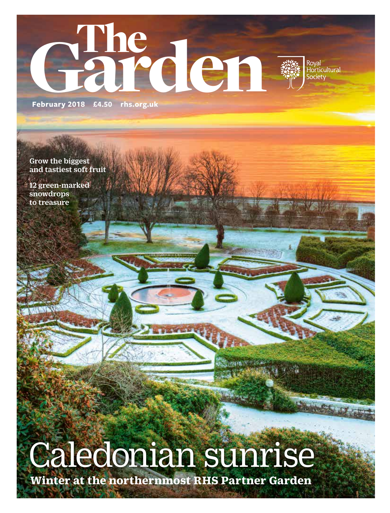

Grow the biggest and tastiest soft fruit

12 green-marked snowdrops to treasure

# Caledonian sunrise

**Winter at the northernmost RHS Partner Garden**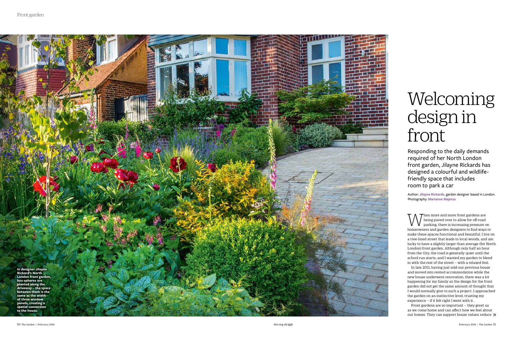When more and more front gardens are<br>
parking, there is increasing pressure contents and garden deginerate to find wear being paved over to allow for off-road parking, there is increasing pressure on homeowners and garden designers to find ways to make these spaces functional and beautiful. I live on a tree-lined street that leads to local woods, and am lucky to have a slightly larger than average (for North London) front garden. Although only half an hour from the City, the road is generally quiet until the school run starts, and I wanted my garden to blend in with the rest of the street – with a relaxed feel.

Front gardens are so important – they greet us as we come home and can affect how we feel about our homes. They can support house values; reduce  $\mathcal{V}$ 

In late 2011, having just sold our previous house and moved into rented accommodation while the new house underwent renovation, there was a lot happening for my family so the design for the front garden did not get the same amount of thought that I would normally give to such a project. I approached the garden on an instinctive level, trusting my experience – if it felt right I went with it.

Responding to the daily demands required of her North London front garden, Jilayne Rickards has designed a colourful and wildlifefriendly space that includes room to park a car

Author: **Jilayne Rickards,** garden designer based in London. Photography: **Marianne Majerus**

## Welcoming design in front